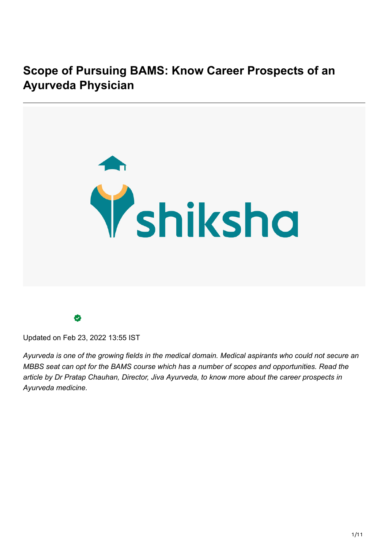**Scope of Pursuing BAMS: Know Career Prospects of an Ayurveda Physician**



Updated on Feb 23, 2022 13:55 IST

*Ayurveda is one of the growing fields in the medical domain. Medical aspirants who could not secure an MBBS seat can opt for the BAMS course which has a number of scopes and opportunities. Read the article by Dr Pratap Chauhan, Director, Jiva Ayurveda, to know more about the career prospects in Ayurveda medicine.*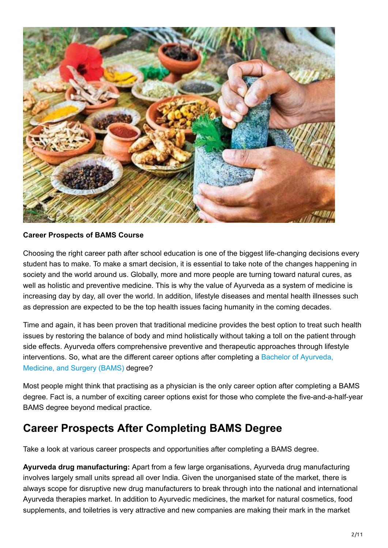

## **Career Prospects of BAMS Course**

Choosing the right career path after school education is one of the biggest life-changing decisions every student has to make. To make a smart decision, it is essential to take note of the changes happening in society and the world around us. Globally, more and more people are turning toward natural cures, as well as holistic and preventive medicine. This is why the value of Ayurveda as a system of medicine is increasing day by day, all over the world. In addition, lifestyle diseases and mental health illnesses such as depression are expected to be the top health issues facing humanity in the coming decades.

Time and again, it has been proven that traditional medicine provides the best option to treat such health issues by restoring the balance of body and mind holistically without taking a toll on the patient through side effects. Ayurveda offers comprehensive preventive and therapeutic approaches through lifestyle interventions. So, what are the different career options after completing a Bachelor of Ayurveda, Medicine, and Surgery (BAMS) degree?

Most people might think that practising as a physician is the only career option after completing a BAMS degree. Fact is, a number of exciting career options exist for those who complete the five-and-a-half-year BAMS degree beyond medical practice.

## **Career Prospects After Completing BAMS Degree**

Take a look at various career prospects and opportunities after completing a BAMS degree.

**Ayurveda drug manufacturing:** Apart from a few large organisations, Ayurveda drug manufacturing involves largely small units spread all over India. Given the unorganised state of the market, there is always scope for disruptive new drug manufacturers to break through into the national and international Ayurveda therapies market. In addition to Ayurvedic medicines, the market for natural cosmetics, food supplements, and toiletries is very attractive and new companies are making their mark in the market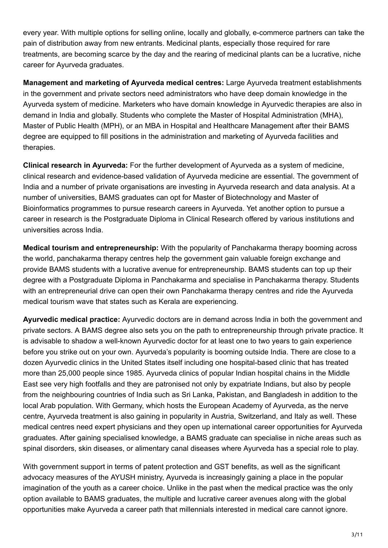every year. With multiple options for selling online, locally and globally, e-commerce partners can take the pain of distribution away from new entrants. Medicinal plants, especially those required for rare treatments, are becoming scarce by the day and the rearing of medicinal plants can be a lucrative, niche career for Ayurveda graduates.

**Management and marketing of Ayurveda medical centres:** Large Ayurveda treatment establishments in the government and private sectors need administrators who have deep domain knowledge in the Ayurveda system of medicine. Marketers who have domain knowledge in Ayurvedic therapies are also in demand in India and globally. Students who complete the Master of Hospital Administration (MHA), Master of Public Health (MPH), or an MBA in Hospital and Healthcare Management after their BAMS degree are equipped to fill positions in the administration and marketing of Ayurveda facilities and therapies.

**Clinical research in Ayurveda:** For the further development of Ayurveda as a system of medicine, clinical research and evidence-based validation of Ayurveda medicine are essential. The government of India and a number of private organisations are investing in Ayurveda research and data analysis. At a number of universities, BAMS graduates can opt for Master of Biotechnology and Master of Bioinformatics programmes to pursue research careers in Ayurveda. Yet another option to pursue a career in research is the Postgraduate Diploma in Clinical Research offered by various institutions and universities across India.

**Medical tourism and entrepreneurship:** With the popularity of Panchakarma therapy booming across the world, panchakarma therapy centres help the government gain valuable foreign exchange and provide BAMS students with a lucrative avenue for entrepreneurship. BAMS students can top up their degree with a Postgraduate Diploma in Panchakarma and specialise in Panchakarma therapy. Students with an entrepreneurial drive can open their own Panchakarma therapy centres and ride the Ayurveda medical tourism wave that states such as Kerala are experiencing.

**Ayurvedic medical practice:** Ayurvedic doctors are in demand across India in both the government and private sectors. A BAMS degree also sets you on the path to entrepreneurship through private practice. It is advisable to shadow a well-known Ayurvedic doctor for at least one to two years to gain experience before you strike out on your own. Ayurveda's popularity is booming outside India. There are close to a dozen Ayurvedic clinics in the United States itself including one hospital-based clinic that has treated more than 25,000 people since 1985. Ayurveda clinics of popular Indian hospital chains in the Middle East see very high footfalls and they are patronised not only by expatriate Indians, but also by people from the neighbouring countries of India such as Sri Lanka, Pakistan, and Bangladesh in addition to the local Arab population. With Germany, which hosts the European Academy of Ayurveda, as the nerve centre, Ayurveda treatment is also gaining in popularity in Austria, Switzerland, and Italy as well. These medical centres need expert physicians and they open up international career opportunities for Ayurveda graduates. After gaining specialised knowledge, a BAMS graduate can specialise in niche areas such as spinal disorders, skin diseases, or alimentary canal diseases where Ayurveda has a special role to play.

With government support in terms of patent protection and GST benefits, as well as the significant advocacy measures of the AYUSH ministry, Ayurveda is increasingly gaining a place in the popular imagination of the youth as a career choice. Unlike in the past when the medical practice was the only option available to BAMS graduates, the multiple and lucrative career avenues along with the global opportunities make Ayurveda a career path that millennials interested in medical care cannot ignore.